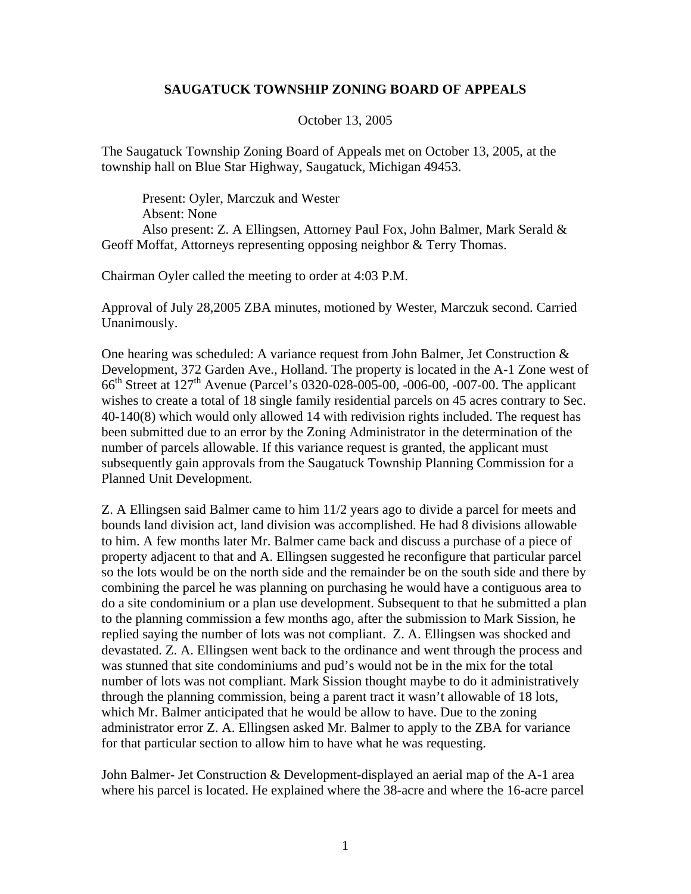## **SAUGATUCK TOWNSHIP ZONING BOARD OF APPEALS**

October 13, 2005

The Saugatuck Township Zoning Board of Appeals met on October 13, 2005, at the township hall on Blue Star Highway, Saugatuck, Michigan 49453.

Present: Oyler, Marczuk and Wester Absent: None Also present: Z. A Ellingsen, Attorney Paul Fox, John Balmer, Mark Serald & Geoff Moffat, Attorneys representing opposing neighbor & Terry Thomas.

Chairman Oyler called the meeting to order at 4:03 P.M.

Approval of July 28,2005 ZBA minutes, motioned by Wester, Marczuk second. Carried Unanimously.

One hearing was scheduled: A variance request from John Balmer, Jet Construction & Development, 372 Garden Ave., Holland. The property is located in the A-1 Zone west of 66th Street at 127th Avenue (Parcel's 0320-028-005-00, -006-00, -007-00. The applicant wishes to create a total of 18 single family residential parcels on 45 acres contrary to Sec. 40-140(8) which would only allowed 14 with redivision rights included. The request has been submitted due to an error by the Zoning Administrator in the determination of the number of parcels allowable. If this variance request is granted, the applicant must subsequently gain approvals from the Saugatuck Township Planning Commission for a Planned Unit Development.

Z. A Ellingsen said Balmer came to him 11/2 years ago to divide a parcel for meets and bounds land division act, land division was accomplished. He had 8 divisions allowable to him. A few months later Mr. Balmer came back and discuss a purchase of a piece of property adjacent to that and A. Ellingsen suggested he reconfigure that particular parcel so the lots would be on the north side and the remainder be on the south side and there by combining the parcel he was planning on purchasing he would have a contiguous area to do a site condominium or a plan use development. Subsequent to that he submitted a plan to the planning commission a few months ago, after the submission to Mark Sission, he replied saying the number of lots was not compliant. Z. A. Ellingsen was shocked and devastated. Z. A. Ellingsen went back to the ordinance and went through the process and was stunned that site condominiums and pud's would not be in the mix for the total number of lots was not compliant. Mark Sission thought maybe to do it administratively through the planning commission, being a parent tract it wasn't allowable of 18 lots, which Mr. Balmer anticipated that he would be allow to have. Due to the zoning administrator error Z. A. Ellingsen asked Mr. Balmer to apply to the ZBA for variance for that particular section to allow him to have what he was requesting.

John Balmer- Jet Construction & Development-displayed an aerial map of the A-1 area where his parcel is located. He explained where the 38-acre and where the 16-acre parcel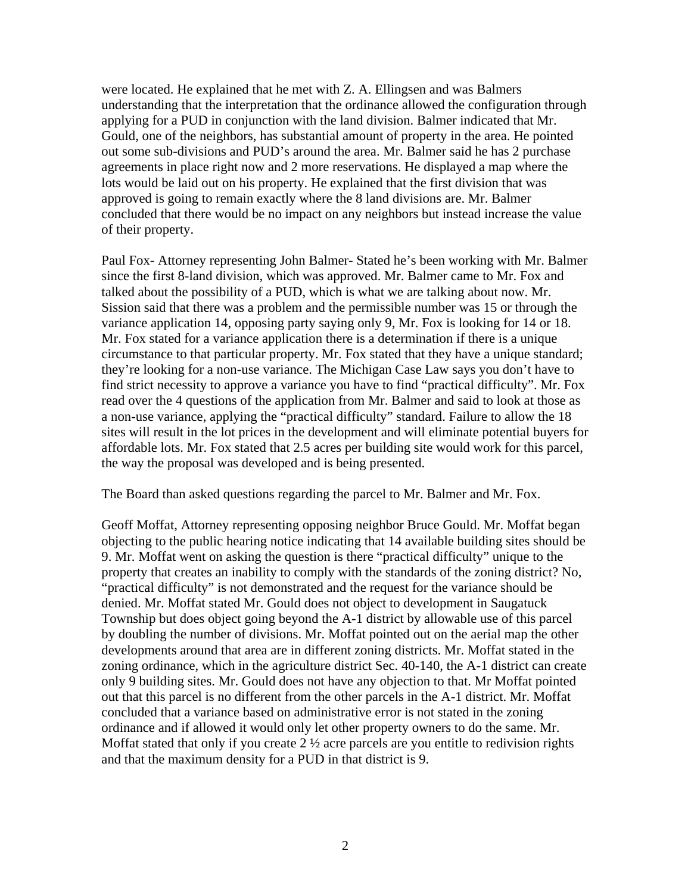were located. He explained that he met with Z. A. Ellingsen and was Balmers understanding that the interpretation that the ordinance allowed the configuration through applying for a PUD in conjunction with the land division. Balmer indicated that Mr. Gould, one of the neighbors, has substantial amount of property in the area. He pointed out some sub-divisions and PUD's around the area. Mr. Balmer said he has 2 purchase agreements in place right now and 2 more reservations. He displayed a map where the lots would be laid out on his property. He explained that the first division that was approved is going to remain exactly where the 8 land divisions are. Mr. Balmer concluded that there would be no impact on any neighbors but instead increase the value of their property.

Paul Fox- Attorney representing John Balmer- Stated he's been working with Mr. Balmer since the first 8-land division, which was approved. Mr. Balmer came to Mr. Fox and talked about the possibility of a PUD, which is what we are talking about now. Mr. Sission said that there was a problem and the permissible number was 15 or through the variance application 14, opposing party saying only 9, Mr. Fox is looking for 14 or 18. Mr. Fox stated for a variance application there is a determination if there is a unique circumstance to that particular property. Mr. Fox stated that they have a unique standard; they're looking for a non-use variance. The Michigan Case Law says you don't have to find strict necessity to approve a variance you have to find "practical difficulty". Mr. Fox read over the 4 questions of the application from Mr. Balmer and said to look at those as a non-use variance, applying the "practical difficulty" standard. Failure to allow the 18 sites will result in the lot prices in the development and will eliminate potential buyers for affordable lots. Mr. Fox stated that 2.5 acres per building site would work for this parcel, the way the proposal was developed and is being presented.

The Board than asked questions regarding the parcel to Mr. Balmer and Mr. Fox.

Geoff Moffat, Attorney representing opposing neighbor Bruce Gould. Mr. Moffat began objecting to the public hearing notice indicating that 14 available building sites should be 9. Mr. Moffat went on asking the question is there "practical difficulty" unique to the property that creates an inability to comply with the standards of the zoning district? No, "practical difficulty" is not demonstrated and the request for the variance should be denied. Mr. Moffat stated Mr. Gould does not object to development in Saugatuck Township but does object going beyond the A-1 district by allowable use of this parcel by doubling the number of divisions. Mr. Moffat pointed out on the aerial map the other developments around that area are in different zoning districts. Mr. Moffat stated in the zoning ordinance, which in the agriculture district Sec. 40-140, the A-1 district can create only 9 building sites. Mr. Gould does not have any objection to that. Mr Moffat pointed out that this parcel is no different from the other parcels in the A-1 district. Mr. Moffat concluded that a variance based on administrative error is not stated in the zoning ordinance and if allowed it would only let other property owners to do the same. Mr. Moffat stated that only if you create  $2\frac{1}{2}$  acre parcels are you entitle to redivision rights and that the maximum density for a PUD in that district is 9.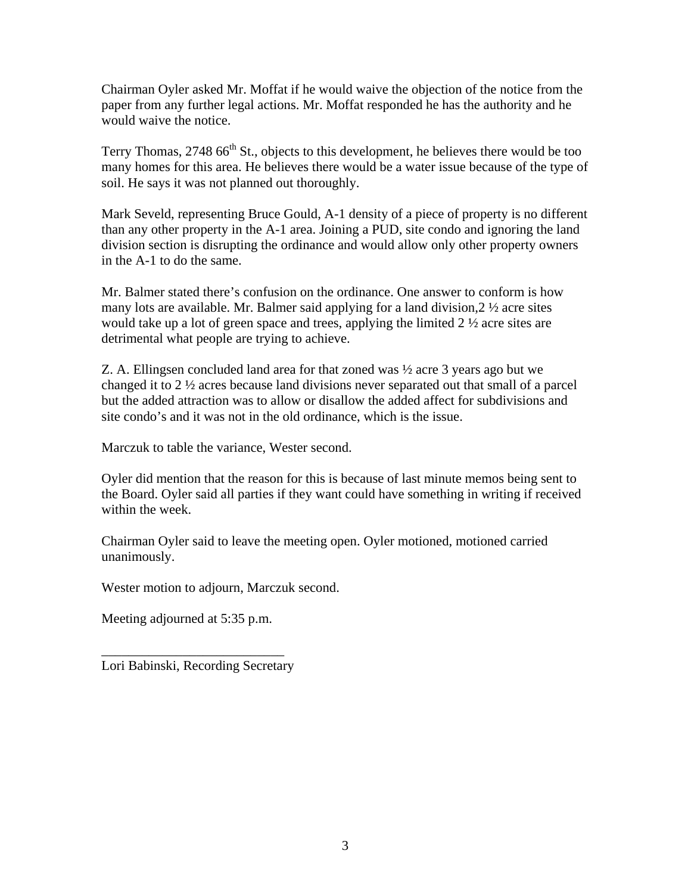Chairman Oyler asked Mr. Moffat if he would waive the objection of the notice from the paper from any further legal actions. Mr. Moffat responded he has the authority and he would waive the notice.

Terry Thomas, 2748  $66<sup>th</sup>$  St., objects to this development, he believes there would be too many homes for this area. He believes there would be a water issue because of the type of soil. He says it was not planned out thoroughly.

Mark Seveld, representing Bruce Gould, A-1 density of a piece of property is no different than any other property in the A-1 area. Joining a PUD, site condo and ignoring the land division section is disrupting the ordinance and would allow only other property owners in the A-1 to do the same.

Mr. Balmer stated there's confusion on the ordinance. One answer to conform is how many lots are available. Mr. Balmer said applying for a land division,  $2 \frac{1}{2}$  acre sites would take up a lot of green space and trees, applying the limited 2 ½ acre sites are detrimental what people are trying to achieve.

Z. A. Ellingsen concluded land area for that zoned was ½ acre 3 years ago but we changed it to 2 ½ acres because land divisions never separated out that small of a parcel but the added attraction was to allow or disallow the added affect for subdivisions and site condo's and it was not in the old ordinance, which is the issue.

Marczuk to table the variance, Wester second.

Oyler did mention that the reason for this is because of last minute memos being sent to the Board. Oyler said all parties if they want could have something in writing if received within the week.

Chairman Oyler said to leave the meeting open. Oyler motioned, motioned carried unanimously.

Wester motion to adjourn, Marczuk second.

Meeting adjourned at 5:35 p.m.

\_\_\_\_\_\_\_\_\_\_\_\_\_\_\_\_\_\_\_\_\_\_\_\_\_\_\_ Lori Babinski, Recording Secretary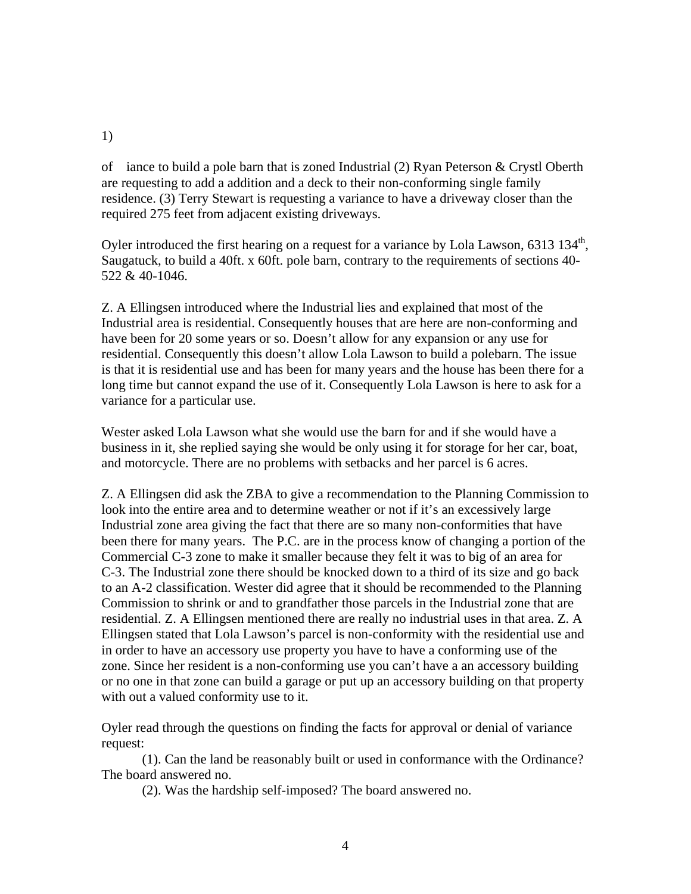## 1)

of iance to build a pole barn that is zoned Industrial (2) Ryan Peterson & Crystl Oberth are requesting to add a addition and a deck to their non-conforming single family residence. (3) Terry Stewart is requesting a variance to have a driveway closer than the required 275 feet from adjacent existing driveways.

Oyler introduced the first hearing on a request for a variance by Lola Lawson, 6313 134<sup>th</sup>, Saugatuck, to build a 40ft. x 60ft. pole barn, contrary to the requirements of sections 40- 522 & 40-1046.

Z. A Ellingsen introduced where the Industrial lies and explained that most of the Industrial area is residential. Consequently houses that are here are non-conforming and have been for 20 some years or so. Doesn't allow for any expansion or any use for residential. Consequently this doesn't allow Lola Lawson to build a polebarn. The issue is that it is residential use and has been for many years and the house has been there for a long time but cannot expand the use of it. Consequently Lola Lawson is here to ask for a variance for a particular use.

Wester asked Lola Lawson what she would use the barn for and if she would have a business in it, she replied saying she would be only using it for storage for her car, boat, and motorcycle. There are no problems with setbacks and her parcel is 6 acres.

Z. A Ellingsen did ask the ZBA to give a recommendation to the Planning Commission to look into the entire area and to determine weather or not if it's an excessively large Industrial zone area giving the fact that there are so many non-conformities that have been there for many years. The P.C. are in the process know of changing a portion of the Commercial C-3 zone to make it smaller because they felt it was to big of an area for C-3. The Industrial zone there should be knocked down to a third of its size and go back to an A-2 classification. Wester did agree that it should be recommended to the Planning Commission to shrink or and to grandfather those parcels in the Industrial zone that are residential. Z. A Ellingsen mentioned there are really no industrial uses in that area. Z. A Ellingsen stated that Lola Lawson's parcel is non-conformity with the residential use and in order to have an accessory use property you have to have a conforming use of the zone. Since her resident is a non-conforming use you can't have a an accessory building or no one in that zone can build a garage or put up an accessory building on that property with out a valued conformity use to it.

Oyler read through the questions on finding the facts for approval or denial of variance request:

(1). Can the land be reasonably built or used in conformance with the Ordinance? The board answered no.

(2). Was the hardship self-imposed? The board answered no.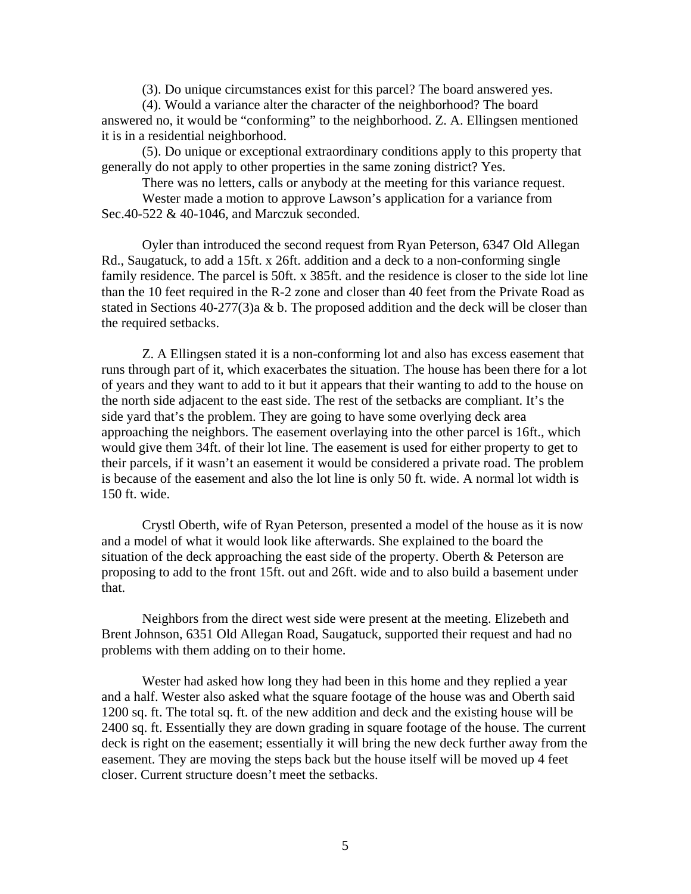(3). Do unique circumstances exist for this parcel? The board answered yes.

(4). Would a variance alter the character of the neighborhood? The board answered no, it would be "conforming" to the neighborhood. Z. A. Ellingsen mentioned it is in a residential neighborhood.

(5). Do unique or exceptional extraordinary conditions apply to this property that generally do not apply to other properties in the same zoning district? Yes.

There was no letters, calls or anybody at the meeting for this variance request. Wester made a motion to approve Lawson's application for a variance from Sec.40-522 & 40-1046, and Marczuk seconded.

Oyler than introduced the second request from Ryan Peterson, 6347 Old Allegan Rd., Saugatuck, to add a 15ft. x 26ft. addition and a deck to a non-conforming single family residence. The parcel is 50ft. x 385ft. and the residence is closer to the side lot line than the 10 feet required in the R-2 zone and closer than 40 feet from the Private Road as stated in Sections 40-277(3)a & b. The proposed addition and the deck will be closer than the required setbacks.

Z. A Ellingsen stated it is a non-conforming lot and also has excess easement that runs through part of it, which exacerbates the situation. The house has been there for a lot of years and they want to add to it but it appears that their wanting to add to the house on the north side adjacent to the east side. The rest of the setbacks are compliant. It's the side yard that's the problem. They are going to have some overlying deck area approaching the neighbors. The easement overlaying into the other parcel is 16ft., which would give them 34ft. of their lot line. The easement is used for either property to get to their parcels, if it wasn't an easement it would be considered a private road. The problem is because of the easement and also the lot line is only 50 ft. wide. A normal lot width is 150 ft. wide.

Crystl Oberth, wife of Ryan Peterson, presented a model of the house as it is now and a model of what it would look like afterwards. She explained to the board the situation of the deck approaching the east side of the property. Oberth & Peterson are proposing to add to the front 15ft. out and 26ft. wide and to also build a basement under that.

Neighbors from the direct west side were present at the meeting. Elizebeth and Brent Johnson, 6351 Old Allegan Road, Saugatuck, supported their request and had no problems with them adding on to their home.

Wester had asked how long they had been in this home and they replied a year and a half. Wester also asked what the square footage of the house was and Oberth said 1200 sq. ft. The total sq. ft. of the new addition and deck and the existing house will be 2400 sq. ft. Essentially they are down grading in square footage of the house. The current deck is right on the easement; essentially it will bring the new deck further away from the easement. They are moving the steps back but the house itself will be moved up 4 feet closer. Current structure doesn't meet the setbacks.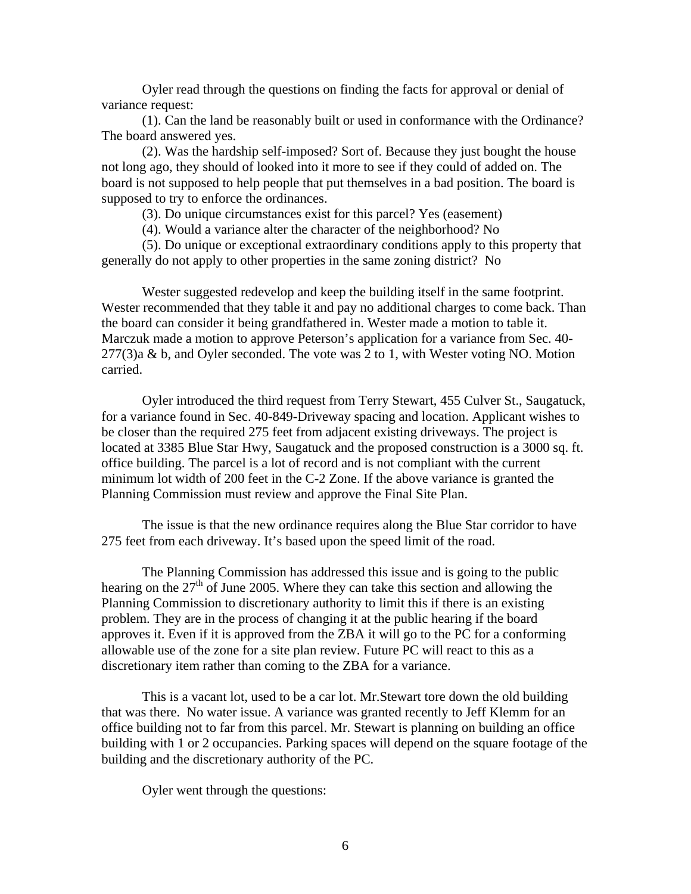Oyler read through the questions on finding the facts for approval or denial of variance request:

(1). Can the land be reasonably built or used in conformance with the Ordinance? The board answered yes.

(2). Was the hardship self-imposed? Sort of. Because they just bought the house not long ago, they should of looked into it more to see if they could of added on. The board is not supposed to help people that put themselves in a bad position. The board is supposed to try to enforce the ordinances.

(3). Do unique circumstances exist for this parcel? Yes (easement)

(4). Would a variance alter the character of the neighborhood? No

(5). Do unique or exceptional extraordinary conditions apply to this property that generally do not apply to other properties in the same zoning district? No

Wester suggested redevelop and keep the building itself in the same footprint. Wester recommended that they table it and pay no additional charges to come back. Than the board can consider it being grandfathered in. Wester made a motion to table it. Marczuk made a motion to approve Peterson's application for a variance from Sec. 40- 277(3)a & b, and Oyler seconded. The vote was 2 to 1, with Wester voting NO. Motion carried.

Oyler introduced the third request from Terry Stewart, 455 Culver St., Saugatuck, for a variance found in Sec. 40-849-Driveway spacing and location. Applicant wishes to be closer than the required 275 feet from adjacent existing driveways. The project is located at 3385 Blue Star Hwy, Saugatuck and the proposed construction is a 3000 sq. ft. office building. The parcel is a lot of record and is not compliant with the current minimum lot width of 200 feet in the C-2 Zone. If the above variance is granted the Planning Commission must review and approve the Final Site Plan.

The issue is that the new ordinance requires along the Blue Star corridor to have 275 feet from each driveway. It's based upon the speed limit of the road.

The Planning Commission has addressed this issue and is going to the public hearing on the  $27<sup>th</sup>$  of June 2005. Where they can take this section and allowing the Planning Commission to discretionary authority to limit this if there is an existing problem. They are in the process of changing it at the public hearing if the board approves it. Even if it is approved from the ZBA it will go to the PC for a conforming allowable use of the zone for a site plan review. Future PC will react to this as a discretionary item rather than coming to the ZBA for a variance.

This is a vacant lot, used to be a car lot. Mr.Stewart tore down the old building that was there. No water issue. A variance was granted recently to Jeff Klemm for an office building not to far from this parcel. Mr. Stewart is planning on building an office building with 1 or 2 occupancies. Parking spaces will depend on the square footage of the building and the discretionary authority of the PC.

Oyler went through the questions: